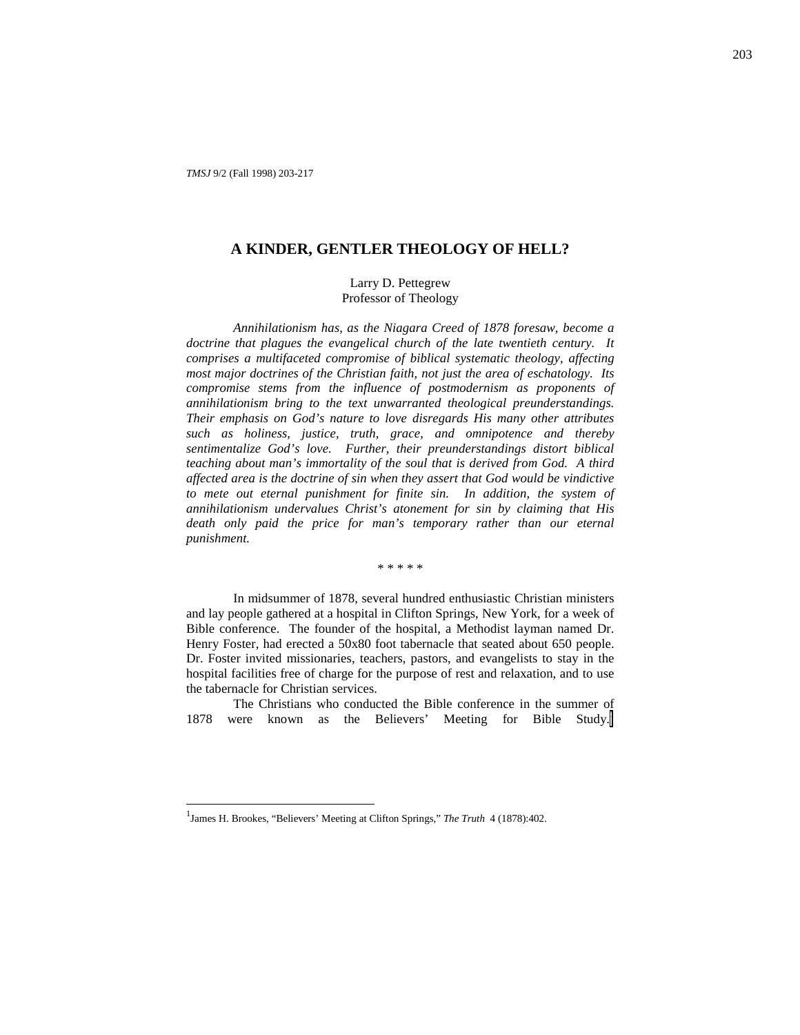# **A KINDER, GENTLER THEOLOGY OF HELL?**

## Larry D. Pettegrew Professor of Theology

*Annihilationism has, as the Niagara Creed of 1878 foresaw, become a doctrine that plagues the evangelical church of the late twentieth century. It comprises a multifaceted compromise of biblical systematic theology, affecting most major doctrines of the Christian faith, not just the area of eschatology. Its compromise stems from the influence of postmodernism as proponents of annihilationism bring to the text unwarranted theological preunderstandings. Their emphasis on God's nature to love disregards His many other attributes such as holiness, justice, truth, grace, and omnipotence and thereby sentimentalize God's love. Further, their preunderstandings distort biblical teaching about man's immortality of the soul that is derived from God. A third affected area is the doctrine of sin when they assert that God would be vindictive to mete out eternal punishment for finite sin. In addition, the system of annihilationism undervalues Christ's atonement for sin by claiming that His death only paid the price for man's temporary rather than our eternal punishment.*

\* \* \* \* \*

In midsummer of 1878, several hundred enthusiastic Christian ministers and lay people gathered at a hospital in Clifton Springs, New York, for a week of Bible conference. The founder of the hospital, a Methodist layman named Dr. Henry Foster, had erected a 50x80 foot tabernacle that seated about 650 people. Dr. Foster invited missionaries, teachers, pastors, and evangelists to stay in the hospital facilities free of charge for the purpose of rest and relaxation, and to use the tabernacle for Christian services.

The Christians who conducted the Bible conference in the summer of 1878 were known as the Believers' Meeting for Bible Study.<sup>1</sup>

<sup>&</sup>lt;sup>1</sup> James H. Brookes, "Believers' Meeting at Clifton Springs," *The Truth* 4 (1878):402.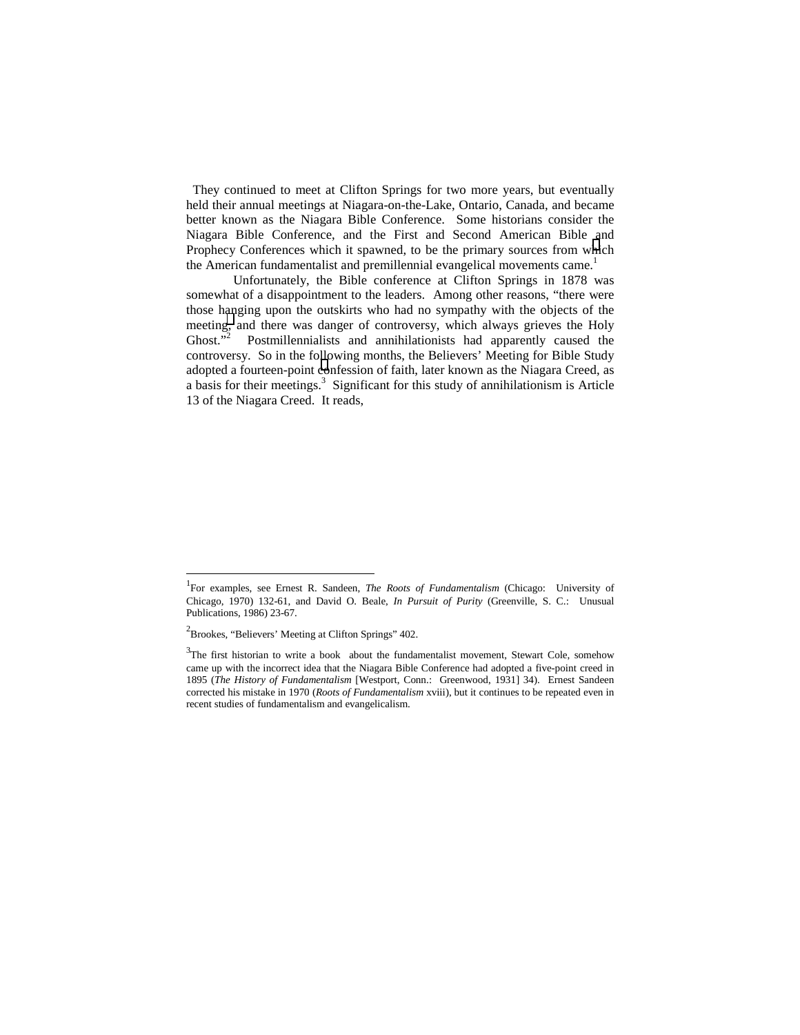They continued to meet at Clifton Springs for two more years, but eventually held their annual meetings at Niagara-on-the-Lake, Ontario, Canada, and became better known as the Niagara Bible Conference. Some historians consider the Niagara Bible Conference, and the First and Second American Bible and Prophecy Conferences which it spawned, to be the primary sources from which the American fundamentalist and premillennial evangelical movements came.<sup>1</sup>

Unfortunately, the Bible conference at Clifton Springs in 1878 was somewhat of a disappointment to the leaders. Among other reasons, "there were those hanging upon the outskirts who had no sympathy with the objects of the meeting, and there was danger of controversy, which always grieves the Holy Ghost."<sup>2</sup> Postmillennialists and annihilationists had apparently caused the controversy. So in the following months, the Believers' Meeting for Bible Study adopted a fourteen-point confession of faith, later known as the Niagara Creed, as a basis for their meetings.<sup>3</sup> Significant for this study of annihilationism is Article 13 of the Niagara Creed. It reads,

<sup>&</sup>lt;sup>1</sup> For examples, see Ernest R. Sandeen, *The Roots of Fundamentalism* (Chicago: University of Chicago, 1970) 132-61, and David O. Beale, *In Pursuit of Purity* (Greenville, S. C.: Unusual Publications, 1986) 23-67.

<sup>&</sup>lt;sup>2</sup> Brookes, "Believers' Meeting at Clifton Springs" 402.

 $3$ The first historian to write a book about the fundamentalist movement, Stewart Cole, somehow came up with the incorrect idea that the Niagara Bible Conference had adopted a five-point creed in 1895 (*The History of Fundamentalism* [Westport, Conn.: Greenwood, 1931] 34). Ernest Sandeen corrected his mistake in 1970 (*Roots of Fundamentalism* xviii), but it continues to be repeated even in recent studies of fundamentalism and evangelicalism.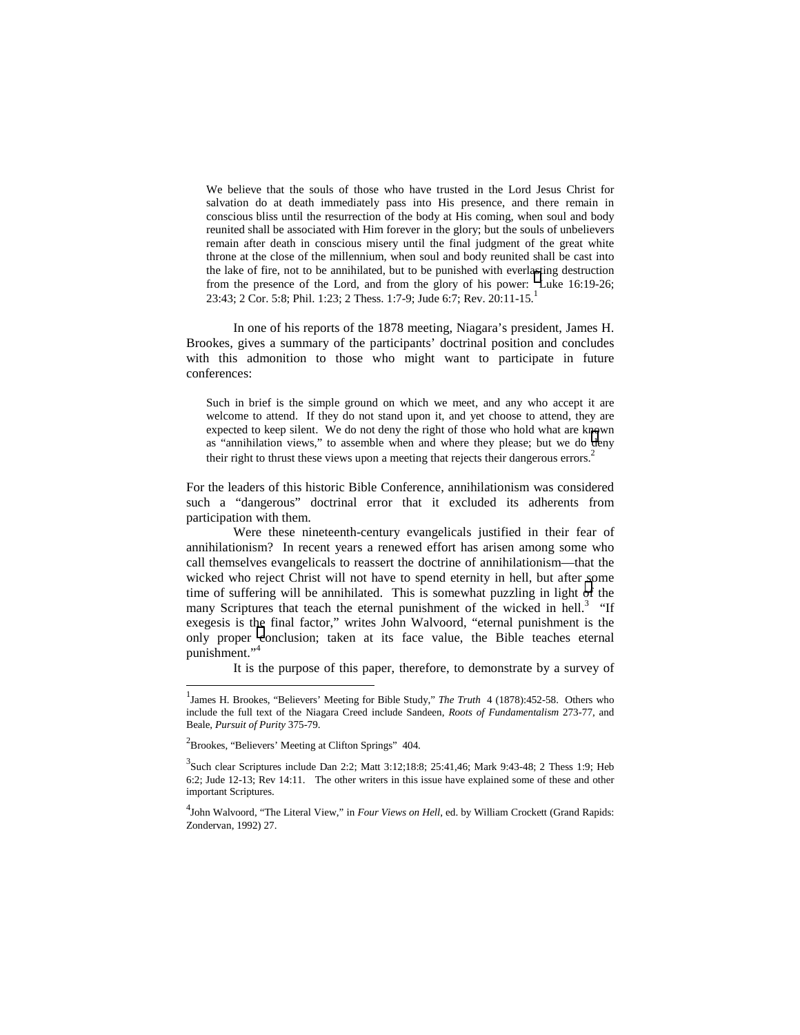We believe that the souls of those who have trusted in the Lord Jesus Christ for salvation do at death immediately pass into His presence, and there remain in conscious bliss until the resurrection of the body at His coming, when soul and body reunited shall be associated with Him forever in the glory; but the souls of unbelievers remain after death in conscious misery until the final judgment of the great white throne at the close of the millennium, when soul and body reunited shall be cast into the lake of fire, not to be annihilated, but to be punished with everlasting destruction from the presence of the Lord, and from the glory of his power: Luke 16:19-26; 23:43; 2 Cor. 5:8; Phil. 1:23; 2 Thess. 1:7-9; Jude 6:7; Rev. 20:11-15.

In one of his reports of the 1878 meeting, Niagara's president, James H. Brookes, gives a summary of the participants' doctrinal position and concludes with this admonition to those who might want to participate in future conferences:

Such in brief is the simple ground on which we meet, and any who accept it are welcome to attend. If they do not stand upon it, and yet choose to attend, they are expected to keep silent. We do not deny the right of those who hold what are known as "annihilation views," to assemble when and where they please; but we do deny their right to thrust these views upon a meeting that rejects their dangerous errors.<sup>2</sup>

For the leaders of this historic Bible Conference, annihilationism was considered such a "dangerous" doctrinal error that it excluded its adherents from participation with them.

Were these nineteenth-century evangelicals justified in their fear of annihilationism? In recent years a renewed effort has arisen among some who call themselves evangelicals to reassert the doctrine of annihilationism—that the wicked who reject Christ will not have to spend eternity in hell, but after some time of suffering will be annihilated. This is somewhat puzzling in light of the many Scriptures that teach the eternal punishment of the wicked in hell.<sup>3</sup> "If exegesis is the final factor," writes John Walvoord, "eternal punishment is the only proper conclusion; taken at its face value, the Bible teaches eternal punishment."<sup>4</sup>

It is the purpose of this paper, therefore, to demonstrate by a survey of

<sup>&</sup>lt;sup>1</sup> James H. Brookes, "Believers' Meeting for Bible Study," *The Truth* 4 (1878):452-58. Others who include the full text of the Niagara Creed include Sandeen, *Roots of Fundamentalism* 273-77, and Beale, *Pursuit of Purity* 375-79.

 $2^2$ Brookes, "Believers' Meeting at Clifton Springs" 404.

<sup>&</sup>lt;sup>3</sup> Such clear Scriptures include Dan 2:2; Matt 3:12;18:8; 25:41,46; Mark 9:43-48; 2 Thess 1:9; Heb 6:2; Jude 12-13; Rev 14:11. The other writers in this issue have explained some of these and other important Scriptures.

<sup>4</sup> John Walvoord, "The Literal View," in *Four Views on Hell*, ed. by William Crockett (Grand Rapids: Zondervan, 1992) 27.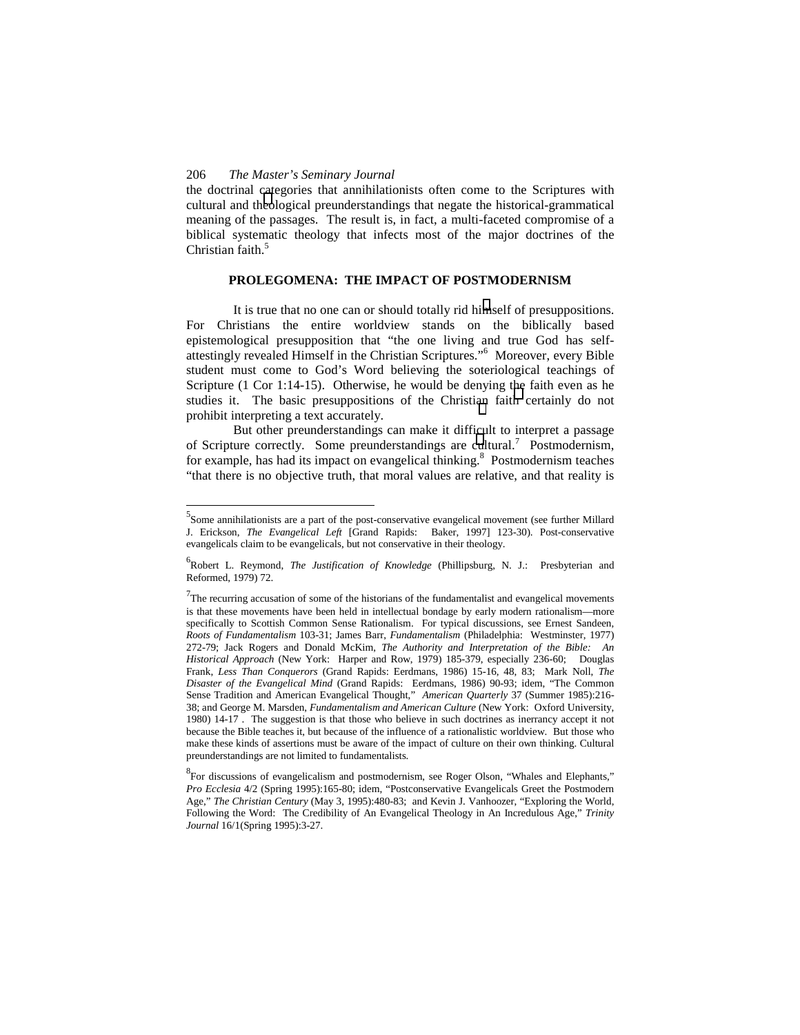l

the doctrinal categories that annihilationists often come to the Scriptures with cultural and theological preunderstandings that negate the historical-grammatical meaning of the passages. The result is, in fact, a multi-faceted compromise of a biblical systematic theology that infects most of the major doctrines of the Christian faith.<sup>5</sup>

## **PROLEGOMENA: THE IMPACT OF POSTMODERNISM**

It is true that no one can or should totally rid himself of presuppositions. For Christians the entire worldview stands on the biblically based epistemological presupposition that "the one living and true God has selfattestingly revealed Himself in the Christian Scriptures."<sup>6</sup> Moreover, every Bible student must come to God's Word believing the soteriological teachings of Scripture (1 Cor 1:14-15). Otherwise, he would be denying the faith even as he studies it. The basic presuppositions of the Christian faith certainly do not prohibit interpreting a text accurately.

But other preunderstandings can make it difficult to interpret a passage of Scripture correctly. Some preunderstandings are cultural.<sup>7</sup> Postmodernism, for example, has had its impact on evangelical thinking.<sup>8</sup> Postmodernism teaches "that there is no objective truth, that moral values are relative, and that reality is

<sup>&</sup>lt;sup>5</sup>Some annihilationists are a part of the post-conservative evangelical movement (see further Millard J. Erickson, *The Evangelical Left* [Grand Rapids: Baker, 1997] 123-30). Post-conservative evangelicals claim to be evangelicals, but not conservative in their theology.

<sup>6</sup> Robert L. Reymond, *The Justification of Knowledge* (Phillipsburg, N. J.: Presbyterian and Reformed, 1979) 72.

 $7$ The recurring accusation of some of the historians of the fundamentalist and evangelical movements is that these movements have been held in intellectual bondage by early modern rationalism—more specifically to Scottish Common Sense Rationalism. For typical discussions, see Ernest Sandeen, *Roots of Fundamentalism* 103-31; James Barr, *Fundamentalism* (Philadelphia: Westminster, 1977) 272-79; Jack Rogers and Donald McKim, *The Authority and Interpretation of the Bible: An Historical Approach* (New York: Harper and Row, 1979) 185-379, especially 236-60; Douglas Frank, *Less Than Conquerors* (Grand Rapids: Eerdmans, 1986) 15-16, 48, 83; Mark Noll, *The Disaster of the Evangelical Mind* (Grand Rapids: Eerdmans, 1986) 90-93; idem, "The Common Sense Tradition and American Evangelical Thought," *American Quarterly* 37 (Summer 1985):216- 38; and George M. Marsden, *Fundamentalism and American Culture* (New York: Oxford University, 1980) 14-17 . The suggestion is that those who believe in such doctrines as inerrancy accept it not because the Bible teaches it, but because of the influence of a rationalistic worldview. But those who make these kinds of assertions must be aware of the impact of culture on their own thinking. Cultural preunderstandings are not limited to fundamentalists.

<sup>&</sup>lt;sup>8</sup> For discussions of evangelicalism and postmodernism, see Roger Olson, "Whales and Elephants," *Pro Ecclesia* 4/2 (Spring 1995):165-80; idem, "Postconservative Evangelicals Greet the Postmodern Age," *The Christian Century* (May 3, 1995):480-83; and Kevin J. Vanhoozer, "Exploring the World, Following the Word: The Credibility of An Evangelical Theology in An Incredulous Age," *Trinity Journal* 16/1(Spring 1995):3-27.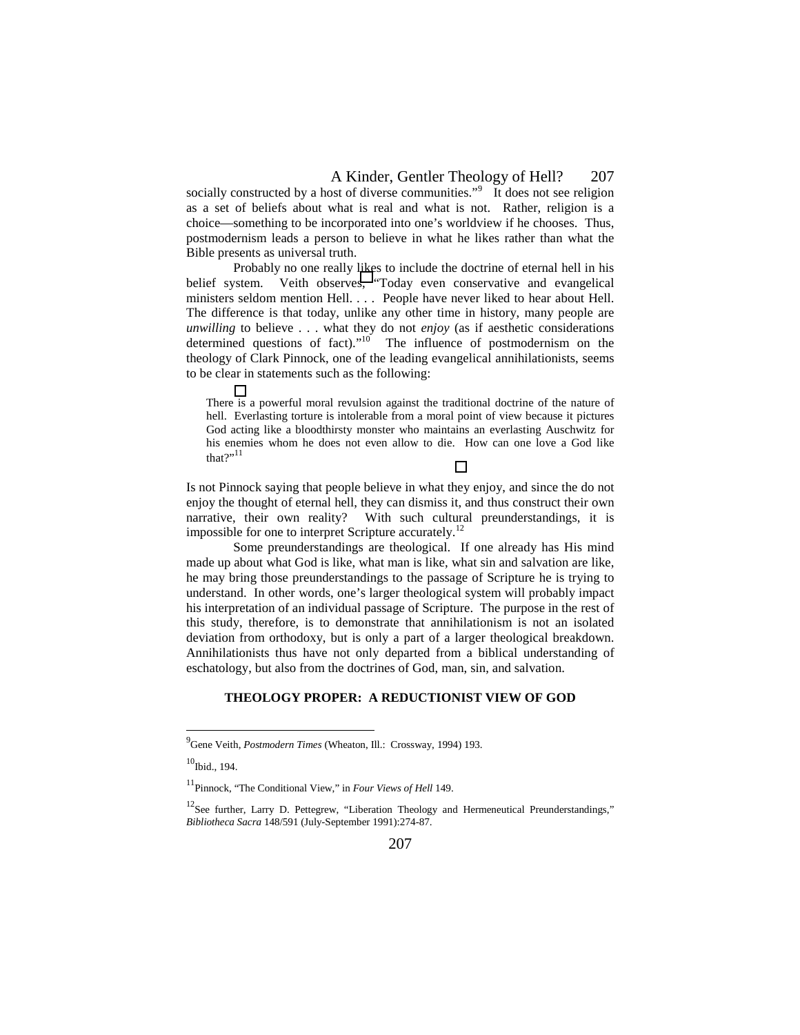socially constructed by a host of diverse communities.<sup> $\mathfrak{I}^9$ </sup> It does not see religion as a set of beliefs about what is real and what is not. Rather, religion is a choice—something to be incorporated into one's worldview if he chooses. Thus, postmodernism leads a person to believe in what he likes rather than what the Bible presents as universal truth.

Probably no one really likes to include the doctrine of eternal hell in his belief system. Veith observes, "Today even conservative and evangelical ministers seldom mention Hell. . . . People have never liked to hear about Hell. The difference is that today, unlike any other time in history, many people are *unwilling* to believe . . . what they do not *enjoy* (as if aesthetic considerations determined questions of fact)."<sup>10</sup> The influence of postmodernism on the theology of Clark Pinnock, one of the leading evangelical annihilationists, seems to be clear in statements such as the following:

There is a powerful moral revulsion against the traditional doctrine of the nature of hell. Everlasting torture is intolerable from a moral point of view because it pictures God acting like a bloodthirsty monster who maintains an everlasting Auschwitz for his enemies whom he does not even allow to die. How can one love a God like that $?$ "11

Is not Pinnock saying that people believe in what they enjoy, and since the do not enjoy the thought of eternal hell, they can dismiss it, and thus construct their own narrative, their own reality? With such cultural preunderstandings, it is impossible for one to interpret Scripture accurately.<sup>12</sup>

Some preunderstandings are theological. If one already has His mind made up about what God is like, what man is like, what sin and salvation are like, he may bring those preunderstandings to the passage of Scripture he is trying to understand. In other words, one's larger theological system will probably impact his interpretation of an individual passage of Scripture. The purpose in the rest of this study, therefore, is to demonstrate that annihilationism is not an isolated deviation from orthodoxy, but is only a part of a larger theological breakdown. Annihilationists thus have not only departed from a biblical understanding of eschatology, but also from the doctrines of God, man, sin, and salvation.

#### **THEOLOGY PROPER: A REDUCTIONIST VIEW OF GOD**

<sup>&</sup>lt;sup>9</sup> Gene Veith, *Postmodern Times* (Wheaton, Ill.: Crossway, 1994) 193.

 $10$ Ibid., 194.

<sup>11</sup>Pinnock, "The Conditional View," in *Four Views of Hell* 149.

<sup>&</sup>lt;sup>12</sup>See further, Larry D. Pettegrew, "Liberation Theology and Hermeneutical Preunderstandings," *Bibliotheca Sacra* 148/591 (July-September 1991):274-87.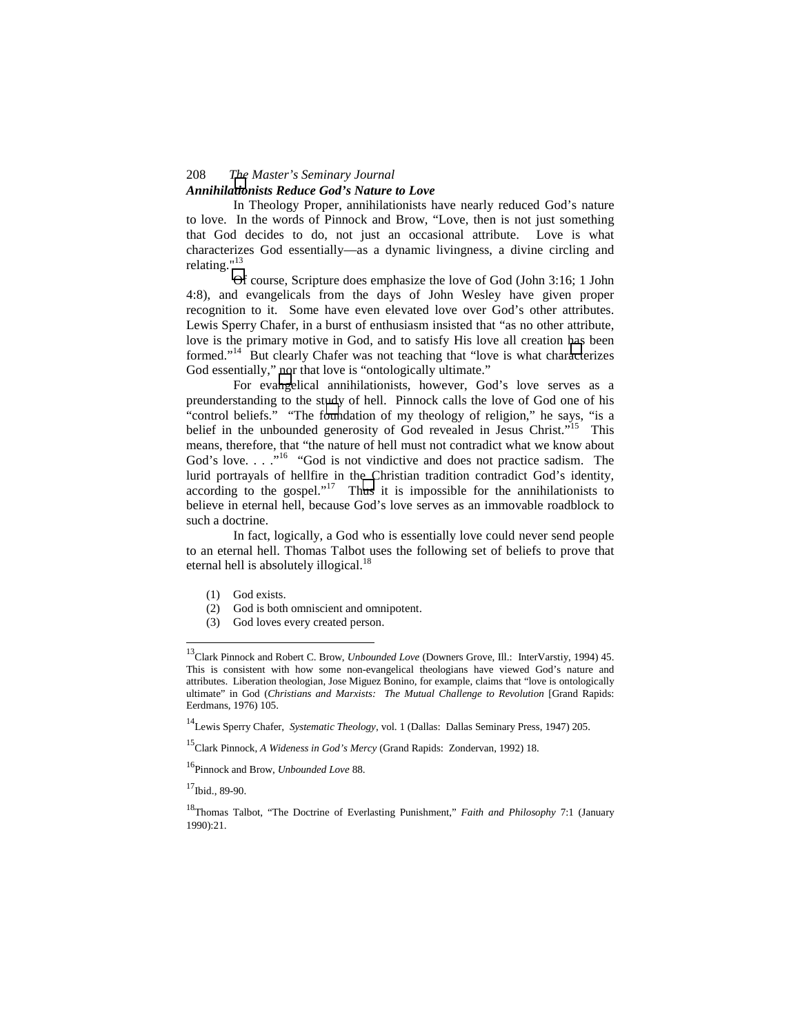## *Annihilationists Reduce God's Nature to Love*

In Theology Proper, annihilationists have nearly reduced God's nature to love. In the words of Pinnock and Brow, "Love, then is not just something that God decides to do, not just an occasional attribute. Love is what characterizes God essentially—as a dynamic livingness, a divine circling and relating."<sup>13</sup>

Of course, Scripture does emphasize the love of God (John 3:16; 1 John 4:8), and evangelicals from the days of John Wesley have given proper recognition to it. Some have even elevated love over God's other attributes. Lewis Sperry Chafer, in a burst of enthusiasm insisted that "as no other attribute, love is the primary motive in God, and to satisfy His love all creation has been formed."<sup>14</sup> But clearly Chafer was not teaching that "love is what characterizes God essentially," nor that love is "ontologically ultimate."

For evangelical annihilationists, however, God's love serves as a preunderstanding to the study of hell. Pinnock calls the love of God one of his "control beliefs." "The foundation of my theology of religion," he says, "is a belief in the unbounded generosity of God revealed in Jesus Christ."<sup>15</sup> This means, therefore, that "the nature of hell must not contradict what we know about God's love.  $\ldots$ <sup>16</sup> "God is not vindictive and does not practice sadism. The lurid portrayals of hellfire in the Christian tradition contradict God's identity, according to the gospel."<sup>17</sup> Thus it is impossible for the annihilationists to believe in eternal hell, because God's love serves as an immovable roadblock to such a doctrine.

In fact, logically, a God who is essentially love could never send people to an eternal hell. Thomas Talbot uses the following set of beliefs to prove that eternal hell is absolutely illogical.<sup>18</sup>

- (1) God exists.
- (2) God is both omniscient and omnipotent.
- (3) God loves every created person.

15Clark Pinnock, *A Wideness in God's Mercy* (Grand Rapids: Zondervan, 1992) 18.

16Pinnock and Brow, *Unbounded Love* 88.

 $17$ Ibid., 89-90.

<sup>13</sup>Clark Pinnock and Robert C. Brow, *Unbounded Love* (Downers Grove, Ill.: InterVarstiy, 1994) 45. This is consistent with how some non-evangelical theologians have viewed God's nature and attributes. Liberation theologian, Jose Miguez Bonino, for example, claims that "love is ontologically ultimate" in God (*Christians and Marxists: The Mutual Challenge to Revolution* [Grand Rapids: Eerdmans, 1976) 105.

<sup>14</sup>Lewis Sperry Chafer, *Systematic Theology*, vol. 1 (Dallas: Dallas Seminary Press, 1947) 205.

<sup>18</sup>Thomas Talbot, "The Doctrine of Everlasting Punishment," *Faith and Philosophy* 7:1 (January 1990):21.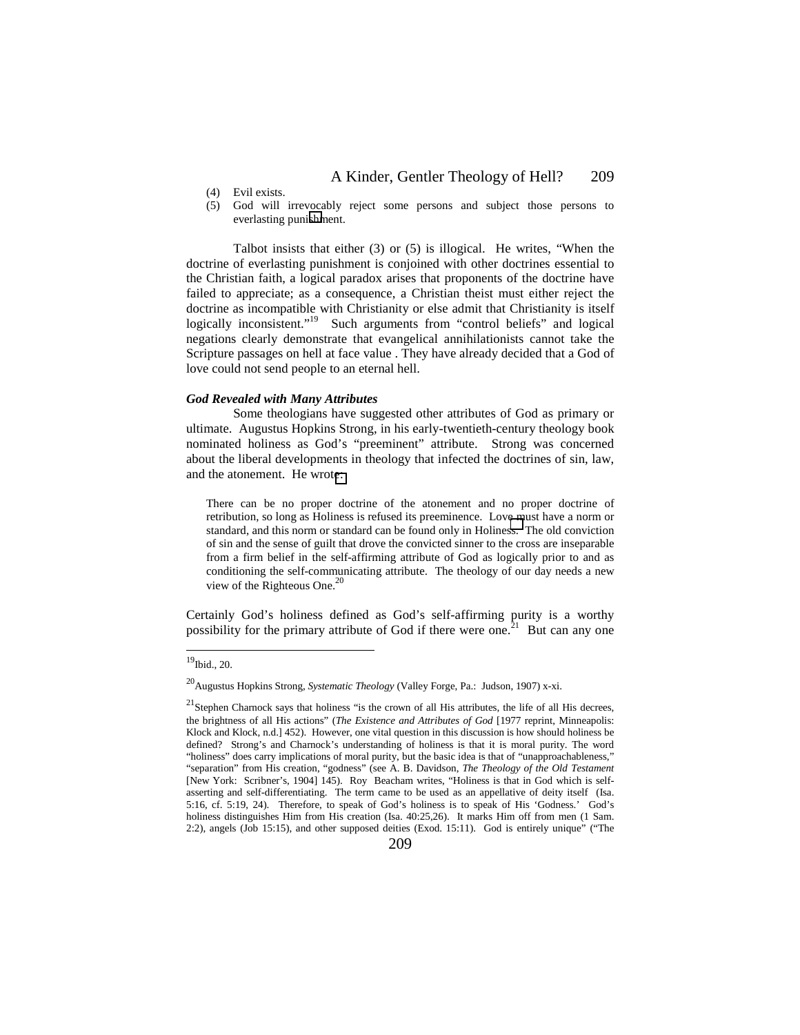- (4) Evil exists.
- (5) God will irrevocably reject some persons and subject those persons to everlasting punishment.

Talbot insists that either (3) or (5) is illogical. He writes, "When the doctrine of everlasting punishment is conjoined with other doctrines essential to the Christian faith, a logical paradox arises that proponents of the doctrine have failed to appreciate; as a consequence, a Christian theist must either reject the doctrine as incompatible with Christianity or else admit that Christianity is itself logically inconsistent."<sup>19</sup> Such arguments from "control beliefs" and logical negations clearly demonstrate that evangelical annihilationists cannot take the Scripture passages on hell at face value . They have already decided that a God of love could not send people to an eternal hell.

#### *God Revealed with Many Attributes*

Some theologians have suggested other attributes of God as primary or ultimate. Augustus Hopkins Strong, in his early-twentieth-century theology book nominated holiness as God's "preeminent" attribute. Strong was concerned about the liberal developments in theology that infected the doctrines of sin, law, and the atonement. He wrote:

There can be no proper doctrine of the atonement and no proper doctrine of retribution, so long as Holiness is refused its preeminence. Love must have a norm or standard, and this norm or standard can be found only in Holiness. The old conviction of sin and the sense of guilt that drove the convicted sinner to the cross are inseparable from a firm belief in the self-affirming attribute of God as logically prior to and as conditioning the self-communicating attribute. The theology of our day needs a new view of the Righteous One.<sup>20</sup>

Certainly God's holiness defined as God's self-affirming purity is a worthy possibility for the primary attribute of God if there were one.<sup>21</sup> But can any one

 $^{19}$ Ibid., 20.

<sup>20</sup>Augustus Hopkins Strong, *Systematic Theology* (Valley Forge, Pa.: Judson, 1907) x-xi.

<sup>&</sup>lt;sup>21</sup>Stephen Charnock says that holiness "is the crown of all His attributes, the life of all His decrees, the brightness of all His actions" (*The Existence and Attributes of God* [1977 reprint, Minneapolis: Klock and Klock, n.d.] 452). However, one vital question in this discussion is how should holiness be defined? Strong's and Charnock's understanding of holiness is that it is moral purity. The word "holiness" does carry implications of moral purity, but the basic idea is that of "unapproachableness," "separation" from His creation, "godness" (see A. B. Davidson, *The Theology of the Old Testament* [New York: Scribner's, 1904] 145). Roy Beacham writes, "Holiness is that in God which is selfasserting and self-differentiating. The term came to be used as an appellative of deity itself (Isa. 5:16, cf. 5:19, 24). Therefore, to speak of God's holiness is to speak of His 'Godness.' God's holiness distinguishes Him from His creation (Isa. 40:25,26). It marks Him off from men (1 Sam. 2:2), angels (Job 15:15), and other supposed deities (Exod. 15:11). God is entirely unique" ("The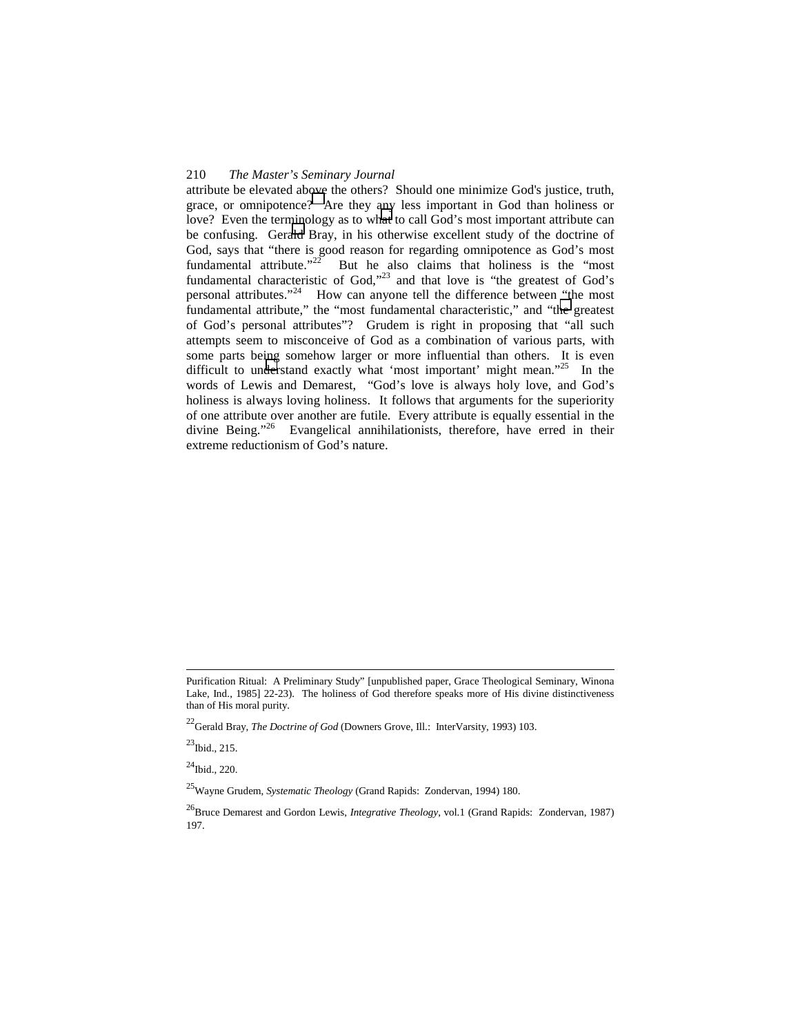attribute be elevated above the others? Should one minimize God's justice, truth, grace, or omnipotence? Are they any less important in God than holiness or love? Even the terminology as to what to call God's most important attribute can be confusing. Gerald Bray, in his otherwise excellent study of the doctrine of God, says that "there is good reason for regarding omnipotence as God's most fundamental attribute. $12^2$  But he also claims that holiness is the "most" fundamental characteristic of  $God$ ,<sup> $23$ </sup> and that love is "the greatest of  $God's$ personal attributes."24 How can anyone tell the difference between "the most fundamental attribute," the "most fundamental characteristic," and "the greatest of God's personal attributes"? Grudem is right in proposing that "all such attempts seem to misconceive of God as a combination of various parts, with some parts being somehow larger or more influential than others. It is even difficult to understand exactly what 'most important' might mean."<sup>25</sup> In the words of Lewis and Demarest, "God's love is always holy love, and God's holiness is always loving holiness. It follows that arguments for the superiority of one attribute over another are futile. Every attribute is equally essential in the divine Being." Evangelical annihilationists, therefore, have erred in their Evangelical annihilationists, therefore, have erred in their extreme reductionism of God's nature.

 $^{23}$ Ibid., 215.

 $^{24}$ Ibid., 220.

25Wayne Grudem, *Systematic Theology* (Grand Rapids: Zondervan, 1994) 180.

Purification Ritual: A Preliminary Study" [unpublished paper, Grace Theological Seminary, Winona Lake, Ind., 1985] 22-23). The holiness of God therefore speaks more of His divine distinctiveness than of His moral purity.

<sup>&</sup>lt;sup>22</sup>Gerald Bray, *The Doctrine of God* (Downers Grove, Ill.: InterVarsity, 1993) 103.

<sup>&</sup>lt;sup>26</sup>Bruce Demarest and Gordon Lewis, *Integrative Theology*, vol.1 (Grand Rapids: Zondervan, 1987) 197.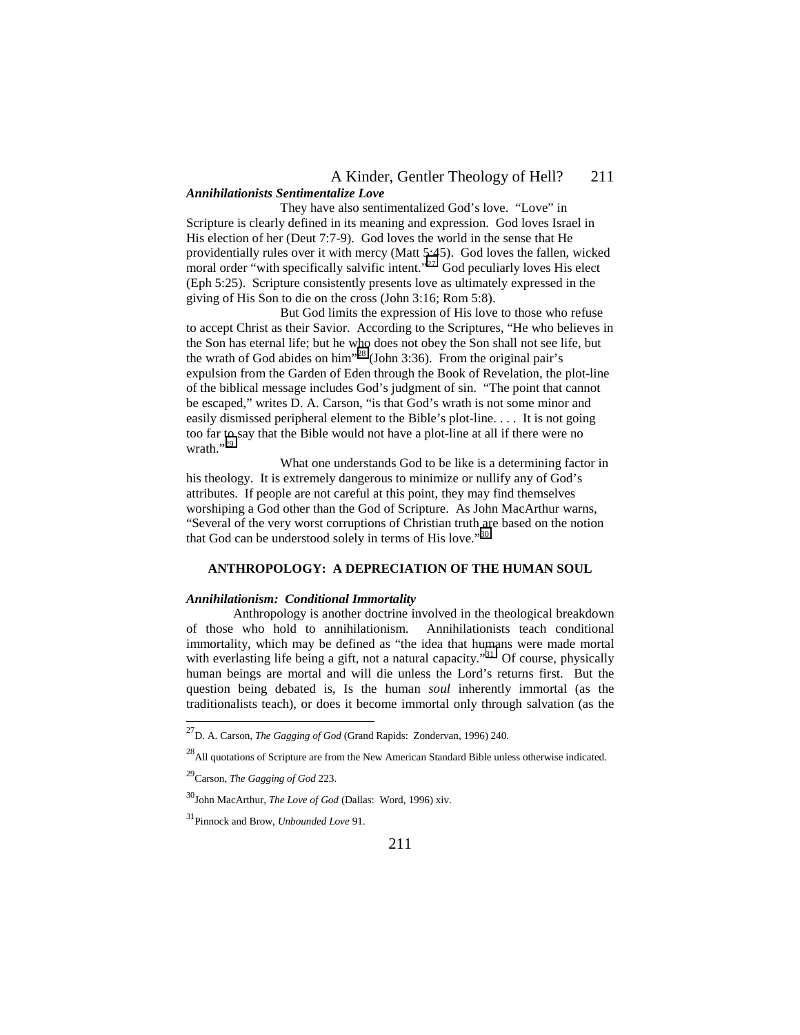### *Annihilationists Sentimentalize Love*

They have also sentimentalized God's love. "Love" in Scripture is clearly defined in its meaning and expression. God loves Israel in His election of her (Deut 7:7-9). God loves the world in the sense that He providentially rules over it with mercy (Matt 5:45). God loves the fallen, wicked moral order "with specifically salvific intent."<sup>27</sup> God peculiarly loves His elect (Eph 5:25). Scripture consistently presents love as ultimately expressed in the giving of His Son to die on the cross (John 3:16; Rom 5:8).

But God limits the expression of His love to those who refuse to accept Christ as their Savior. According to the Scriptures, "He who believes in the Son has eternal life; but he who does not obey the Son shall not see life, but the wrath of God abides on him<sup> $28$ </sup> (John 3:36). From the original pair's expulsion from the Garden of Eden through the Book of Revelation, the plot-line of the biblical message includes God's judgment of sin. "The point that cannot be escaped," writes D. A. Carson, "is that God's wrath is not some minor and easily dismissed peripheral element to the Bible's plot-line. . . . It is not going too far to say that the Bible would not have a plot-line at all if there were no wrath. $"$ <sup>29</sup>

What one understands God to be like is a determining factor in his theology. It is extremely dangerous to minimize or nullify any of God's attributes. If people are not careful at this point, they may find themselves worshiping a God other than the God of Scripture. As John MacArthur warns, "Several of the very worst corruptions of Christian truth are based on the notion that God can be understood solely in terms of His love."<sup>30</sup>

## **ANTHROPOLOGY: A DEPRECIATION OF THE HUMAN SOUL**

#### *Annihilationism: Conditional Immortality*

Anthropology is another doctrine involved in the theological breakdown of those who hold to annihilationism. Annihilationists teach conditional immortality, which may be defined as "the idea that humans were made mortal with everlasting life being a gift, not a natural capacity."<sup>31</sup> Of course, physically human beings are mortal and will die unless the Lord's returns first. But the question being debated is, Is the human *soul* inherently immortal (as the traditionalists teach), or does it become immortal only through salvation (as the

 $\overline{a}$ 

<sup>27</sup>D. A. Carson, *The Gagging of God* (Grand Rapids: Zondervan, 1996) 240.

 $^{28}$ All quotations of Scripture are from the New American Standard Bible unless otherwise indicated.

<sup>29</sup>Carson, *The Gagging of God* 223.

<sup>30</sup>John MacArthur, *The Love of God* (Dallas: Word, 1996) xiv.

<sup>31</sup>Pinnock and Brow, *Unbounded Love* 91.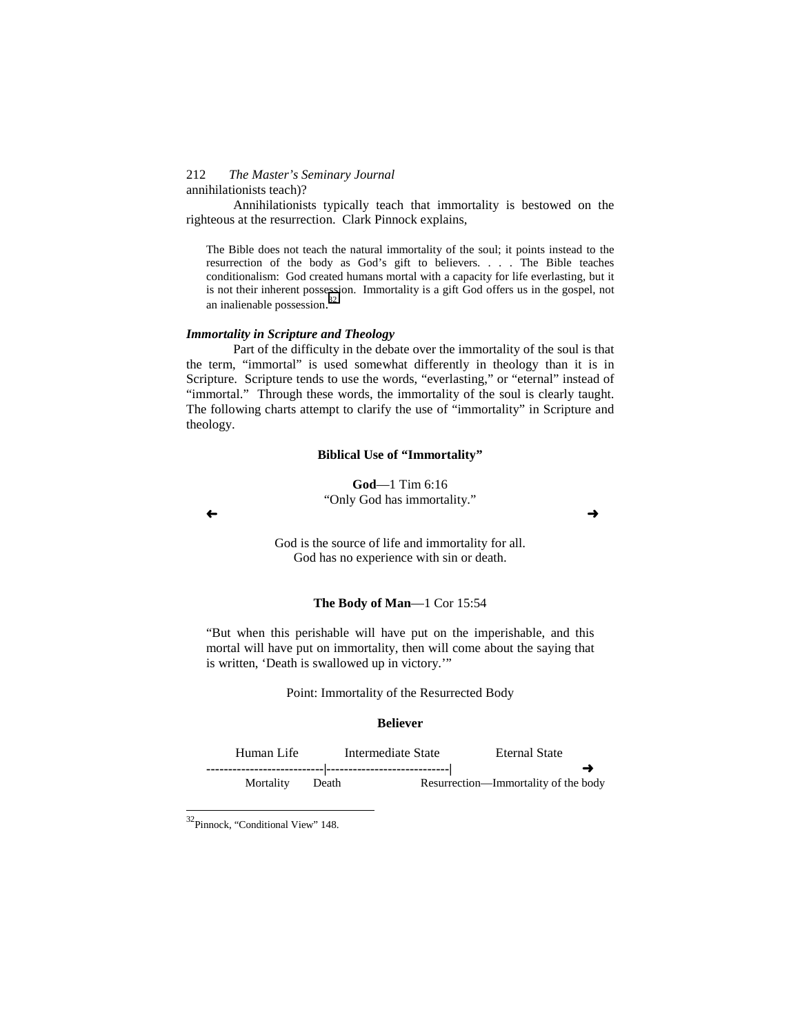#### 212 *The Master's Seminary Journal* annihilationists teach)?

Annihilationists typically teach that immortality is bestowed on the righteous at the resurrection. Clark Pinnock explains,

The Bible does not teach the natural immortality of the soul; it points instead to the resurrection of the body as God's gift to believers. . . . The Bible teaches conditionalism: God created humans mortal with a capacity for life everlasting, but it is not their inherent possession. Immortality is a gift God offers us in the gospel, not an inalienable possession. 32

## *Immortality in Scripture and Theology*

Part of the difficulty in the debate over the immortality of the soul is that the term, "immortal" is used somewhat differently in theology than it is in Scripture. Scripture tends to use the words, "everlasting," or "eternal" instead of "immortal." Through these words, the immortality of the soul is clearly taught. The following charts attempt to clarify the use of "immortality" in Scripture and theology.

#### **Biblical Use of "Immortality"**

**God**—1 Tim 6:16 "Only God has immortality."

God is the source of life and immortality for all. God has no experience with sin or death.

#### **The Body of Man**—1 Cor 15:54

"But when this perishable will have put on the imperishable, and this mortal will have put on immortality, then will come about the saying that is written, 'Death is swallowed up in victory.'"

Point: Immortality of the Resurrected Body

#### **Believer**

Human Life Intermediate State Eternal State **---------------------------|----------------------------|** -Mortality Death Resurrection—Immortality of the body

 $\overline{\phantom{a}}$ 

 $\leftrightarrow$ 

<sup>32</sup>Pinnock, "Conditional View" 148.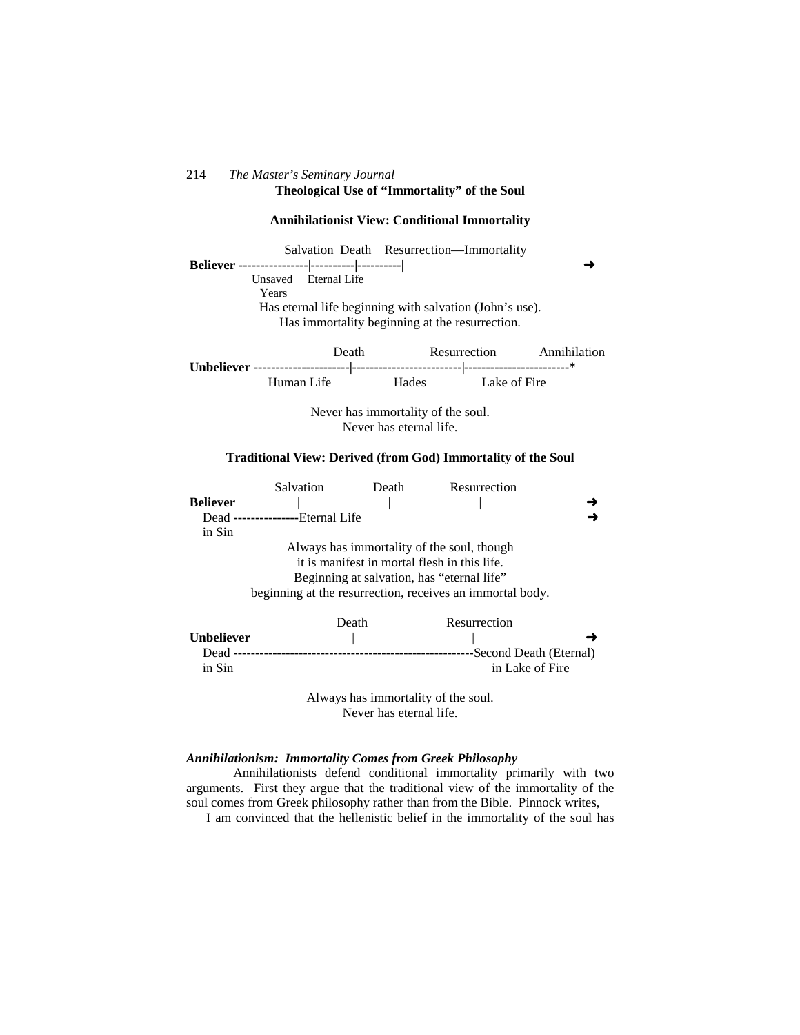### 214 *The Master's Seminary Journal* **Theological Use of "Immortality" of the Soul**

#### **Annihilationist View: Conditional Immortality**

 Salvation Death Resurrection—Immortality  **Believer ----------------|----------|----------|** - Unsaved Eternal Life Years Has eternal life beginning with salvation (John's use). Has immortality beginning at the resurrection.

| Death      | Resurrection           |              | Annihilation |
|------------|------------------------|--------------|--------------|
|            |                        |              |              |
| Human Life | <b>Example 1</b> Hades | Lake of Fire |              |

Never has immortality of the soul. Never has eternal life.

#### **Traditional View: Derived (from God) Immortality of the Soul**

|                                            | Salvation                                                 | Death | Resurrection           |  |  |  |  |
|--------------------------------------------|-----------------------------------------------------------|-------|------------------------|--|--|--|--|
| <b>Believer</b>                            |                                                           |       |                        |  |  |  |  |
|                                            | Dead ----------------Eternal Life                         |       |                        |  |  |  |  |
| in Sin                                     |                                                           |       |                        |  |  |  |  |
|                                            | Always has immortality of the soul, though                |       |                        |  |  |  |  |
|                                            | it is manifest in mortal flesh in this life.              |       |                        |  |  |  |  |
| Beginning at salvation, has "eternal life" |                                                           |       |                        |  |  |  |  |
|                                            | beginning at the resurrection, receives an immortal body. |       |                        |  |  |  |  |
|                                            |                                                           |       |                        |  |  |  |  |
|                                            |                                                           | Death | Resurrection           |  |  |  |  |
| <b>Unbeliever</b>                          |                                                           |       |                        |  |  |  |  |
| Dead                                       |                                                           |       | Second Death (Eternal) |  |  |  |  |

Always has immortality of the soul. Never has eternal life.

in Sin in Lake of Fire

#### *Annihilationism: Immortality Comes from Greek Philosophy*

Annihilationists defend conditional immortality primarily with two arguments. First they argue that the traditional view of the immortality of the soul comes from Greek philosophy rather than from the Bible. Pinnock writes,

I am convinced that the hellenistic belief in the immortality of the soul has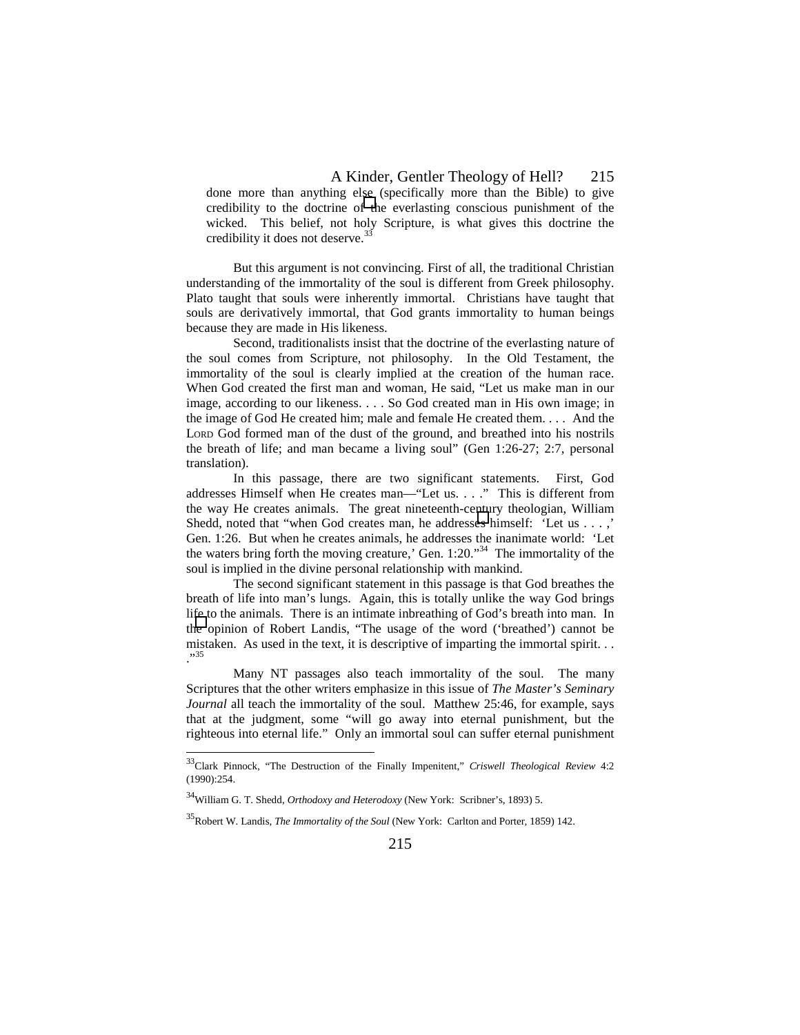done more than anything else (specifically more than the Bible) to give credibility to the doctrine of the everlasting conscious punishment of the wicked. This belief, not holy Scripture, is what gives this doctrine the credibility it does not deserve.<sup>33</sup>

But this argument is not convincing. First of all, the traditional Christian understanding of the immortality of the soul is different from Greek philosophy. Plato taught that souls were inherently immortal. Christians have taught that souls are derivatively immortal, that God grants immortality to human beings because they are made in His likeness.

Second, traditionalists insist that the doctrine of the everlasting nature of the soul comes from Scripture, not philosophy. In the Old Testament, the immortality of the soul is clearly implied at the creation of the human race. When God created the first man and woman, He said, "Let us make man in our image, according to our likeness. . . . So God created man in His own image; in the image of God He created him; male and female He created them. . . . And the LORD God formed man of the dust of the ground, and breathed into his nostrils the breath of life; and man became a living soul" (Gen 1:26-27; 2:7, personal translation).

In this passage, there are two significant statements. First, God addresses Himself when He creates man—"Let us. . . ." This is different from the way He creates animals. The great nineteenth-century theologian, William Shedd, noted that "when God creates man, he addresses himself: 'Let us . . . ,' Gen. 1:26. But when he creates animals, he addresses the inanimate world: 'Let the waters bring forth the moving creature,' Gen.  $1:20.^{34}$ . The immortality of the soul is implied in the divine personal relationship with mankind.

The second significant statement in this passage is that God breathes the breath of life into man's lungs. Again, this is totally unlike the way God brings life to the animals. There is an intimate inbreathing of God's breath into man. In the opinion of Robert Landis, "The usage of the word ('breathed') cannot be mistaken. As used in the text, it is descriptive of imparting the immortal spirit. . . ."<sup>35</sup>

Many NT passages also teach immortality of the soul. The many Scriptures that the other writers emphasize in this issue of *The Master's Seminary Journal* all teach the immortality of the soul. Matthew 25:46, for example, says that at the judgment, some "will go away into eternal punishment, but the righteous into eternal life." Only an immortal soul can suffer eternal punishment

<sup>33</sup>Clark Pinnock, "The Destruction of the Finally Impenitent," *Criswell Theological Review* 4:2 (1990):254.

<sup>34</sup>William G. T. Shedd, *Orthodoxy and Heterodoxy* (New York: Scribner's, 1893) 5.

<sup>35</sup>Robert W. Landis, *The Immortality of the Soul* (New York: Carlton and Porter, 1859) 142.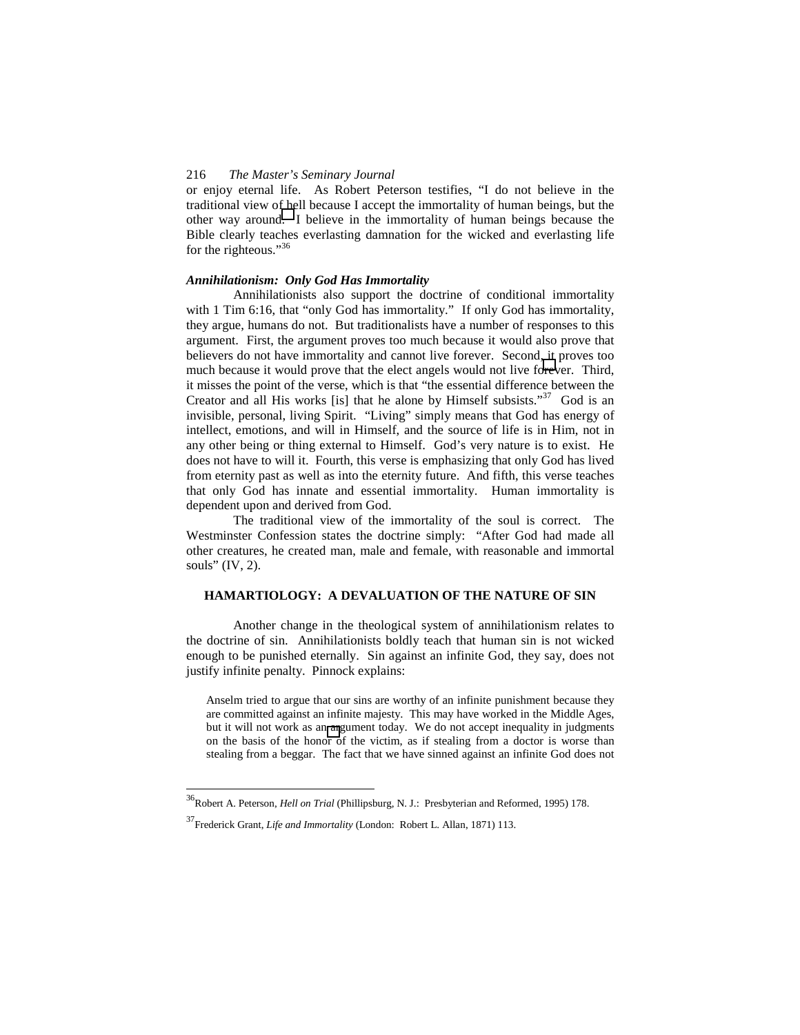or enjoy eternal life. As Robert Peterson testifies, "I do not believe in the traditional view of hell because I accept the immortality of human beings, but the other way around. I believe in the immortality of human beings because the Bible clearly teaches everlasting damnation for the wicked and everlasting life for the righteous."<sup>36</sup>

### *Annihilationism: Only God Has Immortality*

Annihilationists also support the doctrine of conditional immortality with 1 Tim 6:16, that "only God has immortality." If only God has immortality, they argue, humans do not. But traditionalists have a number of responses to this argument. First, the argument proves too much because it would also prove that believers do not have immortality and cannot live forever. Second, it proves too much because it would prove that the elect angels would not live forever. Third, it misses the point of the verse, which is that "the essential difference between the Creator and all His works [is] that he alone by Himself subsists."<sup>37</sup> God is an invisible, personal, living Spirit. "Living" simply means that God has energy of intellect, emotions, and will in Himself, and the source of life is in Him, not in any other being or thing external to Himself. God's very nature is to exist. He does not have to will it. Fourth, this verse is emphasizing that only God has lived from eternity past as well as into the eternity future. And fifth, this verse teaches that only God has innate and essential immortality. Human immortality is dependent upon and derived from God.

The traditional view of the immortality of the soul is correct. The Westminster Confession states the doctrine simply: "After God had made all other creatures, he created man, male and female, with reasonable and immortal souls" (IV, 2).

### **HAMARTIOLOGY: A DEVALUATION OF THE NATURE OF SIN**

Another change in the theological system of annihilationism relates to the doctrine of sin. Annihilationists boldly teach that human sin is not wicked enough to be punished eternally. Sin against an infinite God, they say, does not justify infinite penalty. Pinnock explains:

Anselm tried to argue that our sins are worthy of an infinite punishment because they are committed against an infinite majesty. This may have worked in the Middle Ages, but it will not work as an argument today. We do not accept inequality in judgments on the basis of the honor of the victim, as if stealing from a doctor is worse than stealing from a beggar. The fact that we have sinned against an infinite God does not

<sup>36</sup>Robert A. Peterson, *Hell on Trial* (Phillipsburg, N. J.: Presbyterian and Reformed, 1995) 178.

<sup>37</sup>Frederick Grant, *Life and Immortality* (London: Robert L. Allan, 1871) 113.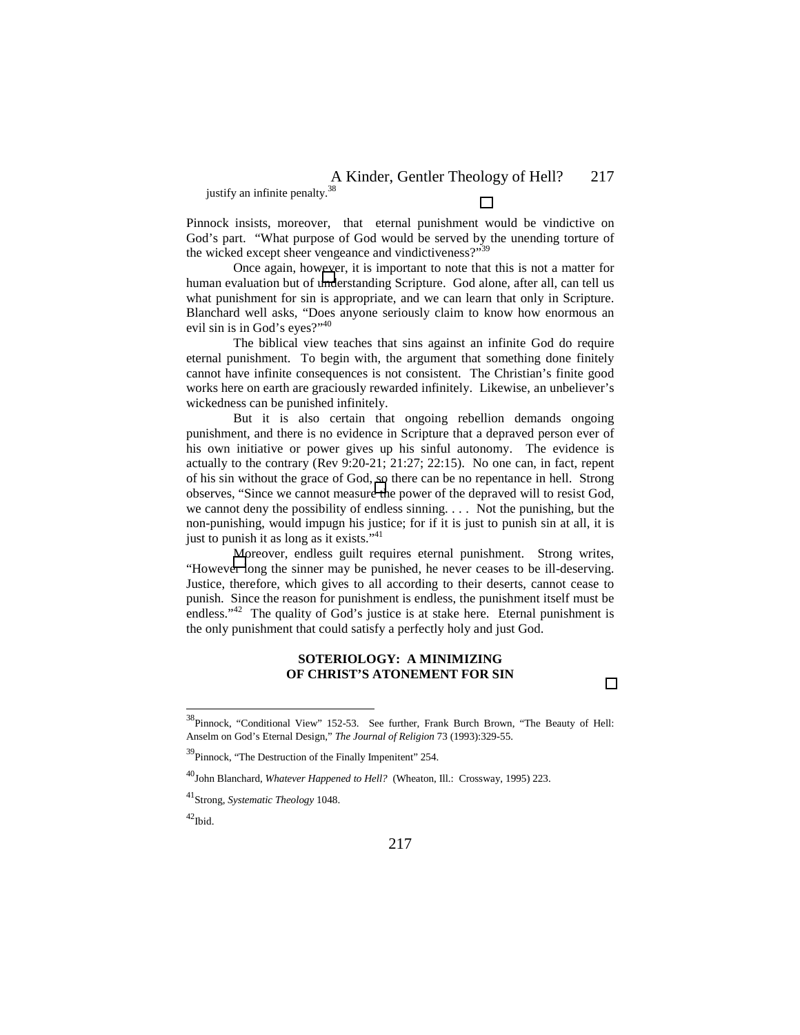justify an infinite penalty.<sup>38</sup>

Pinnock insists, moreover, that eternal punishment would be vindictive on God's part. "What purpose of God would be served by the unending torture of the wicked except sheer vengeance and vindictiveness?"<sup>39</sup>

Once again, however, it is important to note that this is not a matter for human evaluation but of understanding Scripture. God alone, after all, can tell us what punishment for sin is appropriate, and we can learn that only in Scripture. Blanchard well asks, "Does anyone seriously claim to know how enormous an evil sin is in God's eyes?"<sup>40</sup>

The biblical view teaches that sins against an infinite God do require eternal punishment. To begin with, the argument that something done finitely cannot have infinite consequences is not consistent. The Christian's finite good works here on earth are graciously rewarded infinitely. Likewise, an unbeliever's wickedness can be punished infinitely.

But it is also certain that ongoing rebellion demands ongoing punishment, and there is no evidence in Scripture that a depraved person ever of his own initiative or power gives up his sinful autonomy. The evidence is actually to the contrary (Rev 9:20-21; 21:27; 22:15). No one can, in fact, repent of his sin without the grace of God, so there can be no repentance in hell. Strong observes, "Since we cannot measure the power of the depraved will to resist God, we cannot deny the possibility of endless sinning. . . . Not the punishing, but the non-punishing, would impugn his justice; for if it is just to punish sin at all, it is just to punish it as long as it exists."<sup>41</sup>

Moreover, endless guilt requires eternal punishment. Strong writes, "However long the sinner may be punished, he never ceases to be ill-deserving. Justice, therefore, which gives to all according to their deserts, cannot cease to punish. Since the reason for punishment is endless, the punishment itself must be endless."<sup>42</sup> The quality of God's justice is at stake here. Eternal punishment is the only punishment that could satisfy a perfectly holy and just God.

### **SOTERIOLOGY: A MINIMIZING OF CHRIST'S ATONEMENT FOR SIN**

<sup>&</sup>lt;sup>38</sup>Pinnock, "Conditional View" 152-53. See further, Frank Burch Brown, "The Beauty of Hell: Anselm on God's Eternal Design," *The Journal of Religion* 73 (1993):329-55.

 $39$ Pinnock, "The Destruction of the Finally Impenitent" 254.

<sup>&</sup>lt;sup>40</sup>John Blanchard, *Whatever Happened to Hell?* (Wheaton, Ill.: Crossway, 1995) 223.

<sup>41</sup>Strong, *Systematic Theology* 1048.

 $42$ Ibid.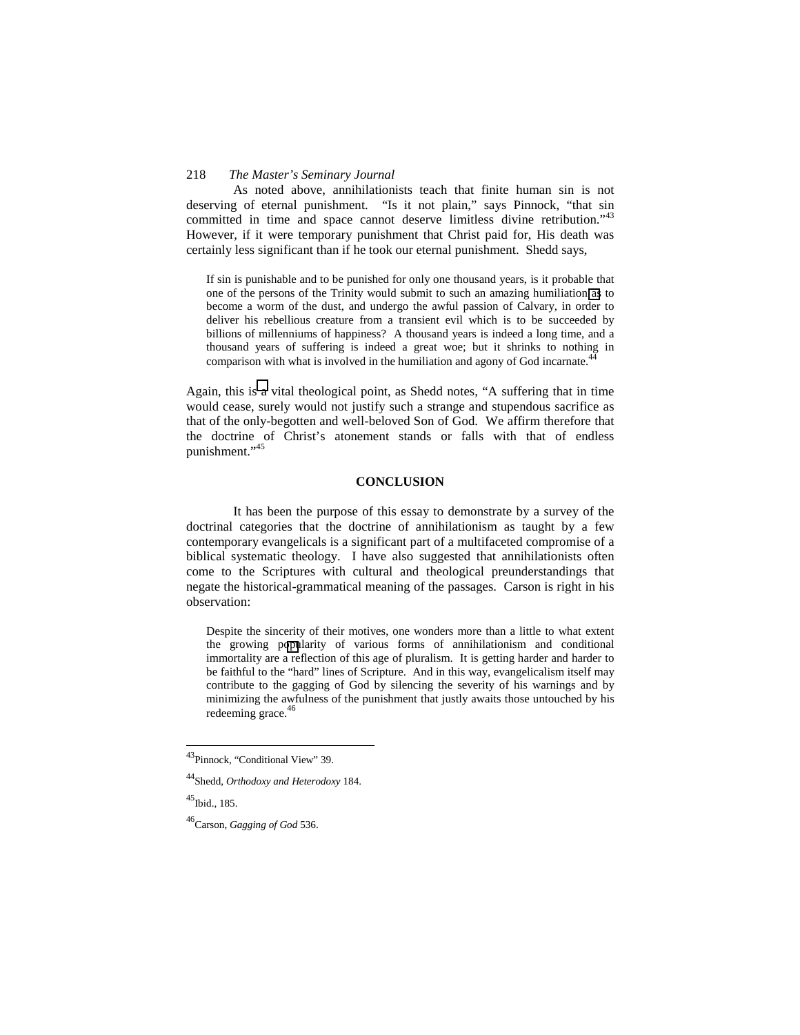As noted above, annihilationists teach that finite human sin is not deserving of eternal punishment. "Is it not plain," says Pinnock, "that sin committed in time and space cannot deserve limitless divine retribution.<sup> $3^{43}$ </sup> However, if it were temporary punishment that Christ paid for, His death was certainly less significant than if he took our eternal punishment. Shedd says,

If sin is punishable and to be punished for only one thousand years, is it probable that one of the persons of the Trinity would submit to such an amazing humiliation as to become a worm of the dust, and undergo the awful passion of Calvary, in order to deliver his rebellious creature from a transient evil which is to be succeeded by billions of millenniums of happiness? A thousand years is indeed a long time, and a thousand years of suffering is indeed a great woe; but it shrinks to nothing in comparison with what is involved in the humiliation and agony of God incarnate.<sup>44</sup>

Again, this is a vital theological point, as Shedd notes, "A suffering that in time would cease, surely would not justify such a strange and stupendous sacrifice as that of the only-begotten and well-beloved Son of God. We affirm therefore that the doctrine of Christ's atonement stands or falls with that of endless punishment."<sup>45</sup>

### **CONCLUSION**

It has been the purpose of this essay to demonstrate by a survey of the doctrinal categories that the doctrine of annihilationism as taught by a few contemporary evangelicals is a significant part of a multifaceted compromise of a biblical systematic theology. I have also suggested that annihilationists often come to the Scriptures with cultural and theological preunderstandings that negate the historical-grammatical meaning of the passages. Carson is right in his observation:

Despite the sincerity of their motives, one wonders more than a little to what extent the growing popularity of various forms of annihilationism and conditional immortality are a reflection of this age of pluralism. It is getting harder and harder to be faithful to the "hard" lines of Scripture. And in this way, evangelicalism itself may contribute to the gagging of God by silencing the severity of his warnings and by minimizing the awfulness of the punishment that justly awaits those untouched by his redeeming grace.<sup>46</sup>

 $\overline{a}$ 

<sup>&</sup>lt;sup>43</sup>Pinnock, "Conditional View" 39.

<sup>44</sup>Shedd, *Orthodoxy and Heterodoxy* 184.

 $^{45}$ Ibid., 185.

<sup>46</sup>Carson, *Gagging of God* 536.